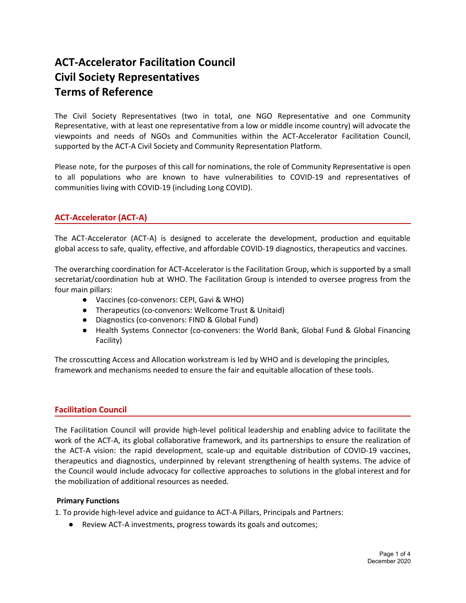# **ACT-Accelerator Facilitation Council Civil Society Representatives Terms of Reference**

The Civil Society Representatives (two in total, one NGO Representative and one Community Representative, with at least one representative from a low or middle income country) will advocate the viewpoints and needs of NGOs and Communities within the ACT-Accelerator Facilitation Council, supported by the ACT-A Civil Society and Community Representation Platform.

Please note, for the purposes of this call for nominations, the role of Community Representative is open to all populations who are known to have vulnerabilities to COVID-19 and representatives of communities living with COVID-19 (including Long COVID).

# **ACT-Accelerator (ACT-A)**

The ACT-Accelerator (ACT-A) is designed to accelerate the development, production and equitable global access to safe, quality, effective, and affordable COVID-19 diagnostics, therapeutics and vaccines.

The overarching coordination for ACT-Accelerator is the Facilitation Group, which is supported by a small secretariat/coordination hub at WHO. The Facilitation Group is intended to oversee progress from the four main pillars:

- Vaccines (co-convenors: CEPI, Gavi & WHO)
- Therapeutics (co-convenors: Wellcome Trust & Unitaid)
- Diagnostics (co-convenors: FIND & Global Fund)
- Health Systems Connector (co-conveners: the World Bank, Global Fund & Global Financing Facility)

The crosscutting Access and Allocation workstream is led by WHO and is developing the principles, framework and mechanisms needed to ensure the fair and equitable allocation of these tools.

## **Facilitation Council**

The Facilitation Council will provide high-level political leadership and enabling advice to facilitate the work of the ACT-A, its global collaborative framework, and its partnerships to ensure the realization of the ACT-A vision: the rapid development, scale-up and equitable distribution of COVID-19 vaccines, therapeutics and diagnostics, underpinned by relevant strengthening of health systems. The advice of the Council would include advocacy for collective approaches to solutions in the global interest and for the mobilization of additional resources as needed.

#### **Primary Functions**

1. To provide high-level advice and guidance to ACT-A Pillars, Principals and Partners:

● Review ACT-A investments, progress towards its goals and outcomes;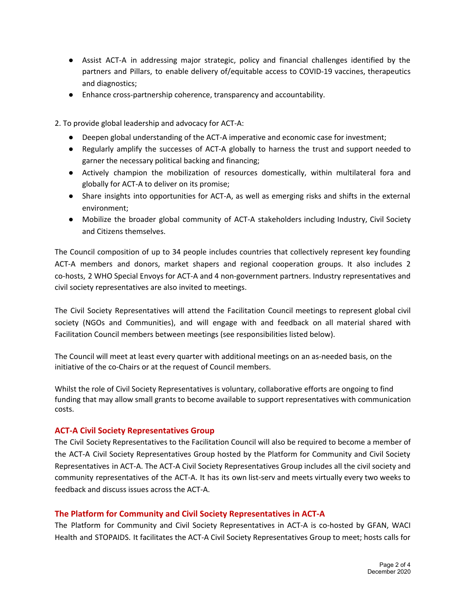- Assist ACT-A in addressing major strategic, policy and financial challenges identified by the partners and Pillars, to enable delivery of/equitable access to COVID-19 vaccines, therapeutics and diagnostics;
- Enhance cross-partnership coherence, transparency and accountability.

2. To provide global leadership and advocacy for ACT-A:

- Deepen global understanding of the ACT-A imperative and economic case for investment;
- Regularly amplify the successes of ACT-A globally to harness the trust and support needed to garner the necessary political backing and financing;
- Actively champion the mobilization of resources domestically, within multilateral fora and globally for ACT-A to deliver on its promise;
- Share insights into opportunities for ACT-A, as well as emerging risks and shifts in the external environment;
- Mobilize the broader global community of ACT-A stakeholders including Industry, Civil Society and Citizens themselves.

The Council composition of up to 34 people includes countries that collectively represent key founding ACT-A members and donors, market shapers and regional cooperation groups. It also includes 2 co-hosts, 2 WHO Special Envoys for ACT-A and 4 non-government partners. Industry representatives and civil society representatives are also invited to meetings.

The Civil Society Representatives will attend the Facilitation Council meetings to represent global civil society (NGOs and Communities), and will engage with and feedback on all material shared with Facilitation Council members between meetings (see responsibilities listed below).

The Council will meet at least every quarter with additional meetings on an as-needed basis, on the initiative of the co-Chairs or at the request of Council members.

Whilst the role of Civil Society Representatives is voluntary, collaborative efforts are ongoing to find funding that may allow small grants to become available to support representatives with communication costs.

## **ACT-A Civil Society Representatives Group**

The Civil Society Representatives to the Facilitation Council will also be required to become a member of the ACT-A Civil Society Representatives Group hosted by the Platform for Community and Civil Society Representatives in ACT-A. The ACT-A Civil Society Representatives Group includes all the civil society and community representatives of the ACT-A. It has its own list-serv and meets virtually every two weeks to feedback and discuss issues across the ACT-A.

#### **The Platform for Community and Civil Society Representatives in ACT-A**

The Platform for Community and Civil Society Representatives in ACT-A is co-hosted by GFAN, WACI Health and STOPAIDS. It facilitates the ACT-A Civil Society Representatives Group to meet; hosts calls for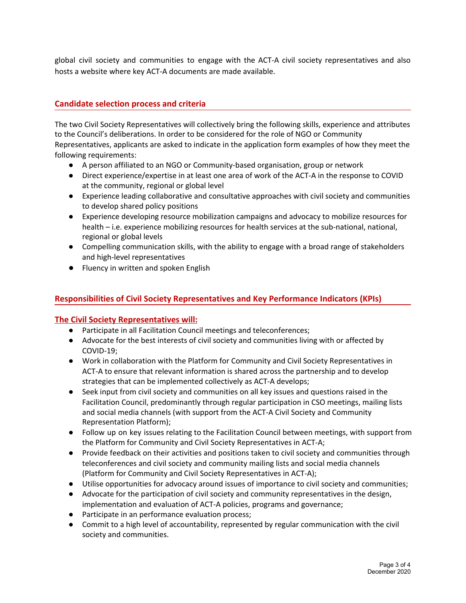global civil society and communities to engage with the ACT-A civil society representatives and also hosts a website where key ACT-A documents are made available.

# **Candidate selection process and criteria**

The two Civil Society Representatives will collectively bring the following skills, experience and attributes to the Council's deliberations. In order to be considered for the role of NGO or Community Representatives, applicants are asked to indicate in the application form examples of how they meet the following requirements:

- A person affiliated to an NGO or Community-based organisation, group or network
- Direct experience/expertise in at least one area of work of the ACT-A in the response to COVID at the community, regional or global level
- Experience leading collaborative and consultative approaches with civil society and communities to develop shared policy positions
- Experience developing resource mobilization campaigns and advocacy to mobilize resources for health – i.e. experience mobilizing resources for health services at the sub-national, national, regional or global levels
- Compelling communication skills, with the ability to engage with a broad range of stakeholders and high-level representatives
- Fluency in written and spoken English

# **Responsibilities of Civil Society Representatives and Key Performance Indicators (KPIs)**

## **The Civil Society Representatives will:**

- Participate in all Facilitation Council meetings and teleconferences;
- Advocate for the best interests of civil society and communities living with or affected by COVID-19;
- Work in collaboration with the Platform for Community and Civil Society Representatives in ACT-A to ensure that relevant information is shared across the partnership and to develop strategies that can be implemented collectively as ACT-A develops;
- Seek input from civil society and communities on all key issues and questions raised in the Facilitation Council, predominantly through regular participation in CSO meetings, mailing lists and social media channels (with support from the ACT-A Civil Society and Community Representation Platform);
- Follow up on key issues relating to the Facilitation Council between meetings, with support from the Platform for Community and Civil Society Representatives in ACT-A;
- Provide feedback on their activities and positions taken to civil society and communities through teleconferences and civil society and community mailing lists and social media channels (Platform for Community and Civil Society Representatives in ACT-A);
- Utilise opportunities for advocacy around issues of importance to civil society and communities;
- Advocate for the participation of civil society and community representatives in the design, implementation and evaluation of ACT-A policies, programs and governance;
- Participate in an performance evaluation process;
- Commit to a high level of accountability, represented by regular communication with the civil society and communities.